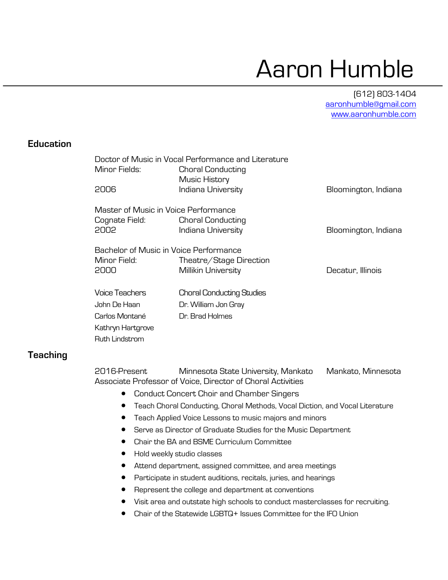# Aaron Humble

(612) 803-1404 aaronhumble@gmail.com www.aaronhumble.com

#### **Education**

|                                        | Doctor of Music in Vocal Performance and Literature |                      |
|----------------------------------------|-----------------------------------------------------|----------------------|
| Minor Fields:                          | <b>Choral Conducting</b>                            |                      |
|                                        | Music History                                       |                      |
| 2006                                   | Indiana University                                  | Bloomington, Indiana |
|                                        |                                                     |                      |
| Master of Music in Voice Performance   |                                                     |                      |
| Cognate Field:                         | <b>Choral Conducting</b>                            |                      |
| 2002                                   | Indiana University                                  | Bloomington, Indiana |
| Bachelor of Music in Voice Performance |                                                     |                      |
| Minor Field:                           |                                                     |                      |
|                                        | Theatre/Stage Direction                             |                      |
| 2000                                   | Millikin University                                 | Decatur, Illinois    |
| Voice Teachers                         | <b>Choral Conducting Studies</b>                    |                      |
| John De Haan                           |                                                     |                      |
|                                        | Dr. William Jon Gray                                |                      |
| Carlos Montané                         | Dr. Brad Holmes                                     |                      |
| Kathryn Hartgrove                      |                                                     |                      |
| Ruth Lindstrom                         |                                                     |                      |
|                                        |                                                     |                      |

### **Teaching**

2016-Present Minnesota State University, Mankato Mankato, Minnesota Associate Professor of Voice, Director of Choral Activities

- Conduct Concert Choir and Chamber Singers
- Teach Choral Conducting, Choral Methods, Vocal Diction, and Vocal Literature
- Teach Applied Voice Lessons to music majors and minors
- Serve as Director of Graduate Studies for the Music Department
- Chair the BA and BSME Curriculum Committee
- Hold weekly studio classes
- Attend department, assigned committee, and area meetings
- Participate in student auditions, recitals, juries, and hearings
- Represent the college and department at conventions
- Visit area and outstate high schools to conduct masterclasses for recruiting.
- Chair of the Statewide LGBTQ+ Issues Committee for the IFO Union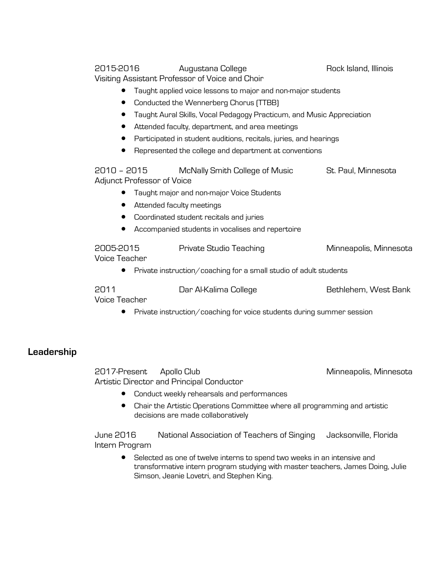Visiting Assistant Professor of Voice and Choir • Taught applied voice lessons to major and non-major students • Conducted the Wennerberg Chorus (TTBB) • Taught Aural Skills, Vocal Pedagogy Practicum, and Music Appreciation • Attended faculty, department, and area meetings

- Participated in student auditions, recitals, juries, and hearings
- Represented the college and department at conventions

2010 – 2015 McNally Smith College of Music St. Paul, Minnesota Adjunct Professor of Voice

2015-2016 Augustana College Rock Island, Illinois

- Taught major and non-major Voice Students
- Attended faculty meetings
- Coordinated student recitals and juries
- Accompanied students in vocalises and repertoire

| 2005-2015     | Private Studio Teaching | Minneapolis, Minnesota |
|---------------|-------------------------|------------------------|
| Voice Teacher |                         |                        |

• Private instruction/coaching for a small studio of adult students

2011 Dar Al-Kalima College Bethlehem, West Bank

Voice Teacher

• Private instruction/coaching for voice students during summer session

#### **Leadership**

2017-Present Apollo Club Annual Minneapolis, Minnesota Artistic Director and Principal Conductor

- Conduct weekly rehearsals and performances
- Chair the Artistic Operations Committee where all programming and artistic decisions are made collaboratively

June 2016 National Association of Teachers of Singing Jacksonville, Florida Intern Program

• Selected as one of twelve interns to spend two weeks in an intensive and transformative intern program studying with master teachers, James Doing, Julie Simson, Jeanie Lovetri, and Stephen King.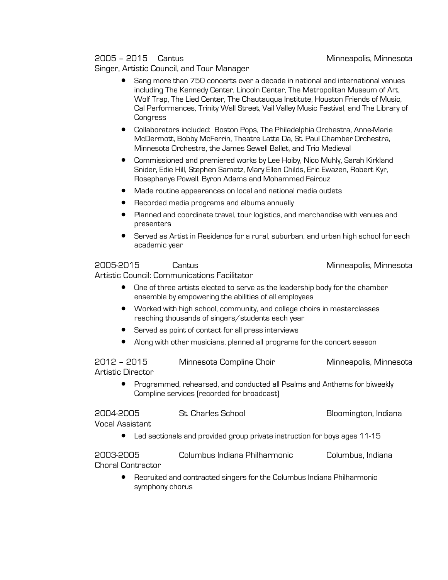#### 2005 – 2015 Cantus Minneapolis, Minnesota

Singer, Artistic Council, and Tour Manager

- Sang more than 750 concerts over a decade in national and international venues including The Kennedy Center, Lincoln Center, The Metropolitan Museum of Art, Wolf Trap, The Lied Center, The Chautauqua Institute, Houston Friends of Music, Cal Performances, Trinity Wall Street, Vail Valley Music Festival, and The Library of **Congress**
- Collaborators included: Boston Pops, The Philadelphia Orchestra, Anne-Marie McDermott, Bobby McFerrin, Theatre Latte Da, St. Paul Chamber Orchestra, Minnesota Orchestra, the James Sewell Ballet, and Trio Medieval
- Commissioned and premiered works by Lee Hoiby, Nico Muhly, Sarah Kirkland Snider, Edie Hill, Stephen Sametz, Mary Ellen Childs, Eric Ewazen, Robert Kyr, Rosephanye Powell, Byron Adams and Mohammed Fairouz
- Made routine appearances on local and national media outlets
- Recorded media programs and albums annually
- Planned and coordinate travel, tour logistics, and merchandise with venues and presenters
- Served as Artist in Residence for a rural, suburban, and urban high school for each academic year

#### 2005-2015 Cantus Minneapolis, Minnesota

Artistic Council: Communications Facilitator

- One of three artists elected to serve as the leadership body for the chamber ensemble by empowering the abilities of all employees
- Worked with high school, community, and college choirs in masterclasses reaching thousands of singers/students each year
- Served as point of contact for all press interviews
- Along with other musicians, planned all programs for the concert season

2012 – 2015 Minnesota Compline Choir Minneapolis, Minnesota Artistic Director

• Programmed, rehearsed, and conducted all Psalms and Anthems for biweekly Compline services (recorded for broadcast)

| 2004-2005       | St. Charles School                                                          | Bloomington, Indiana |
|-----------------|-----------------------------------------------------------------------------|----------------------|
| Vocal Assistant |                                                                             |                      |
|                 | • Led sectionals and provided group private instruction for boys ages 11-15 |                      |

2003-2005 Columbus Indiana Philharmonic Columbus, Indiana Choral Contractor

• Recruited and contracted singers for the Columbus Indiana Philharmonic symphony chorus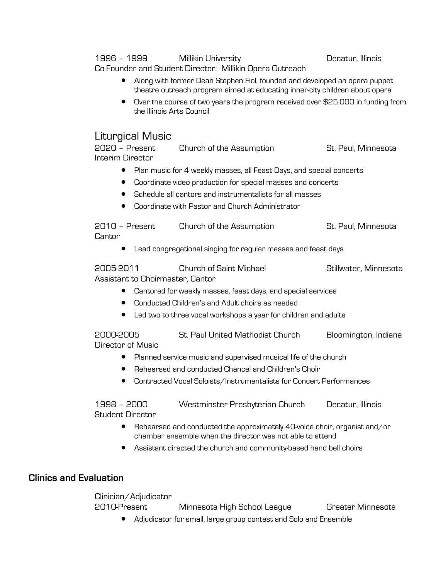#### 1996 – 1999 Millikin University Nullian Decatur, Illinois

Co-Founder and Student Director: Millikin Opera Outreach

- Along with former Dean Stephen Fiol, founded and developed an opera puppet theatre outreach program aimed at educating inner-city children about opera
- Over the course of two years the program received over \$25,000 in funding from the Illinois Arts Council

## Liturgical Music

2020 – Present Church of the Assumption St. Paul, Minnesota Interim Director

- Plan music for 4 weekly masses, all Feast Days, and special concerts
- Coordinate video production for special masses and concerts
- Schedule all cantors and instrumentalists for all masses
- Coordinate with Pastor and Church Administrator

2010 – Present Church of the Assumption St. Paul, Minnesota **Cantor** 

• Lead congregational singing for regular masses and feast days

2005-2011 Church of Saint Michael Stillwater, Minnesota Assistant to Choirmaster, Cantor

- Cantored for weekly masses, feast days, and special services
- Conducted Children's and Adult choirs as needed
- Led two to three vocal workshops a year for children and adults

2000-2005 St. Paul United Methodist Church Bloomington, Indiana Director of Music

- Planned service music and supervised musical life of the church
- Rehearsed and conducted Chancel and Children's Choir
- Contracted Vocal Soloists/Instrumentalists for Concert Performances

1998 – 2000 Westminster Presbyterian Church Decatur, Illinois Student Director

- Rehearsed and conducted the approximately 40-voice choir, organist and/or chamber ensemble when the director was not able to attend
- Assistant directed the church and community-based hand bell choirs

#### **Clinics and Evaluation**

Clinician/Adjudicator 2010-Present Minnesota High School League Greater Minnesota

• Adjudicator for small, large group contest and Solo and Ensemble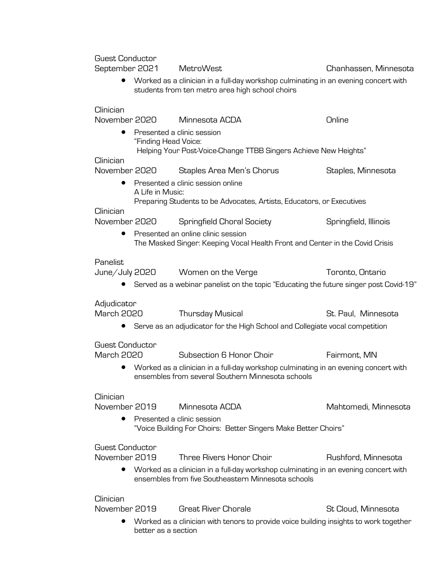Guest Conductor

September 2021 MetroWest Chanhassen, Minnesota

• Worked as a clinician in a full-day workshop culminating in an evening concert with students from ten metro area high school choirs

#### Clinician

|                        | November 2020        | Minnesota ACDA                                                                                                                            | Online                |
|------------------------|----------------------|-------------------------------------------------------------------------------------------------------------------------------------------|-----------------------|
|                        | "Finding Head Voice: | Presented a clinic session<br>Helping Your Post-Voice-Change TTBB Singers Achieve New Heights"                                            |                       |
| Clinician              |                      |                                                                                                                                           |                       |
| November 2020          |                      | Staples Area Men's Chorus                                                                                                                 | Staples, Minnesota    |
| $\bullet$              | A Life in Music:     | Presented a clinic session online                                                                                                         |                       |
| Clinician              |                      | Preparing Students to be Advocates, Artists, Educators, or Executives                                                                     |                       |
| November 2020          |                      | Springfield Choral Society                                                                                                                | Springfield, Illinois |
| $\bullet$              |                      | Presented an online clinic session<br>The Masked Singer: Keeping Vocal Health Front and Center in the Covid Crisis                        |                       |
| Panelist               |                      |                                                                                                                                           |                       |
|                        |                      | June/July 2020 Women on the Verge                                                                                                         | Toronto, Ontario      |
|                        |                      | Served as a webinar panelist on the topic "Educating the future singer post Covid-19"                                                     |                       |
| Adjudicator            |                      |                                                                                                                                           |                       |
| <b>March 2020</b>      |                      | <b>Thursday Musical</b>                                                                                                                   | St. Paul. Minnesota   |
|                        |                      | Serve as an adjudicator for the High School and Collegiate vocal competition                                                              |                       |
| <b>Guest Conductor</b> |                      |                                                                                                                                           |                       |
| <b>March 2020</b>      |                      | Subsection 6 Honor Choir                                                                                                                  | Fairmont, MN          |
| $\bullet$              |                      | Worked as a clinician in a full-day workshop culminating in an evening concert with<br>ensembles from several Southern Minnesota schools  |                       |
| Clinician              |                      |                                                                                                                                           |                       |
| November 2019          |                      | Minnesota ACDA                                                                                                                            | Mahtomedi, Minnesota  |
| $\bullet$              |                      | Presented a clinic session<br>"Voice Building For Choirs: Better Singers Make Better Choirs"                                              |                       |
| <b>Guest Conductor</b> |                      |                                                                                                                                           |                       |
| November 2019          |                      | Three Rivers Honor Choir                                                                                                                  | Rushford, Minnesota   |
|                        |                      | Worked as a clinician in a full-day workshop culminating in an evening concert with<br>ensembles from five Southeastern Minnesota schools |                       |
| Clinician              |                      |                                                                                                                                           |                       |
| November 2019          |                      | <b>Great River Chorale</b>                                                                                                                | St Cloud, Minnesota   |
|                        |                      | $\bullet$ Worked as a clinician with tenors to provide voice building insights to work together                                           |                       |

• Worked as a clinician with tenors to provide voice building insights to work together better as a section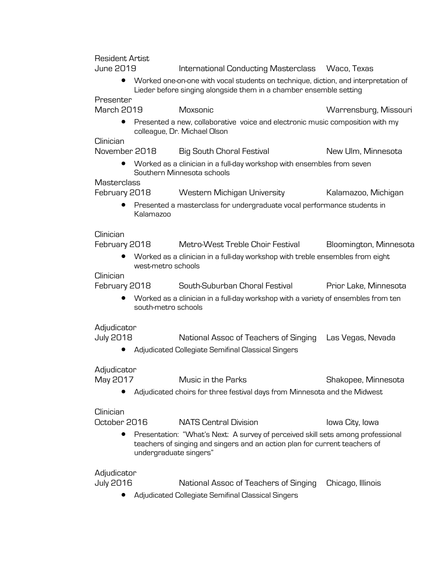Resident Artist

#### June 2019 International Conducting Masterclass Waco, Texas

• Worked one-on-one with vocal students on technique, diction, and interpretation of Lieder before singing alongside them in a chamber ensemble setting

Presenter

March 2019 Moxsonic Warrensburg, Missouri • Presented a new, collaborative voice and electronic music composition with my colleague, Dr. Michael Olson

#### **Clinician**

| November 2018 | Big South Choral Festival | New Ulm, Minnesota |
|---------------|---------------------------|--------------------|
|---------------|---------------------------|--------------------|

• Worked as a clinician in a full-day workshop with ensembles from seven Southern Minnesota schools

#### **Masterclass**

February 2018 Western Michigan University Kalamazoo, Michigan

• Presented a masterclass for undergraduate vocal performance students in Kalamazoo

#### Clinician

February 2018 Metro-West Treble Choir Festival Bloomington, Minnesota

• Worked as a clinician in a full-day workshop with treble ensembles from eight west-metro schools

#### **Clinician**

February 2018 South-Suburban Choral Festival Prior Lake, Minnesota • Worked as a clinician in a full-day workshop with a variety of ensembles from ten south-metro schools

#### **Adjudicator**

| <b>July 2018</b><br>National Assoc of Teachers of Singing Las Vegas, Nevada |
|-----------------------------------------------------------------------------|
|-----------------------------------------------------------------------------|

• Adjudicated Collegiate Semifinal Classical Singers

#### Adjudicator

| May 2017 | Music in the Parks | Shakopee, Minnesota |
|----------|--------------------|---------------------|

• Adjudicated choirs for three festival days from Minnesota and the Midwest

#### **Clinician**

| October 2016           | <b>NATS Central Division</b> | Iowa City, Iowa                                                                                                                                               |
|------------------------|------------------------------|---------------------------------------------------------------------------------------------------------------------------------------------------------------|
| undergraduate singers" |                              | Presentation: "What's Next: A survey of perceived skill sets among professional<br>teachers of singing and singers and an action plan for current teachers of |

#### Adjudicator

July 2016 National Assoc of Teachers of Singing Chicago, Illinois

• Adjudicated Collegiate Semifinal Classical Singers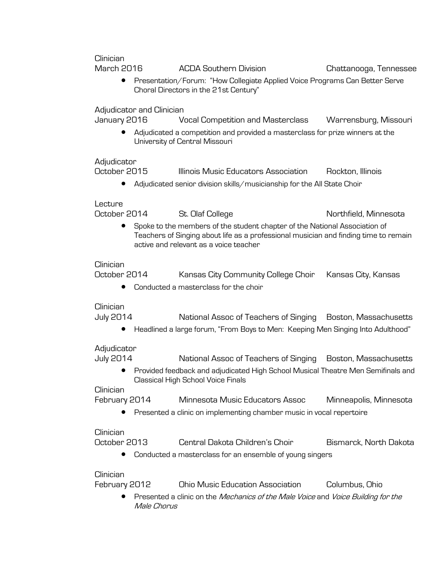Clinician

March 2016 ACDA Southern Division Chattanooga, Tennessee • Presentation/Forum: "How Collegiate Applied Voice Programs Can Better Serve Choral Directors in the 21st Century" Adjudicator and Clinician January 2016 Vocal Competition and Masterclass Warrensburg, Missouri • Adjudicated a competition and provided a masterclass for prize winners at the University of Central Missouri Adjudicator October 2015 Illinois Music Educators Association Rockton, Illinois • Adjudicated senior division skills/musicianship for the All State Choir Lecture October 2014 St. Olaf College St. Olaf College Northfield, Minnesota • Spoke to the members of the student chapter of the National Association of Teachers of Singing about life as a professional musician and finding time to remain active and relevant as a voice teacher Clinician October 2014 Kansas City Community College Choir Kansas City, Kansas • Conducted a masterclass for the choir

**Clinician** 

July 2014 National Assoc of Teachers of Singing Boston, Massachusetts

• Headlined a large forum, "From Boys to Men: Keeping Men Singing Into Adulthood"

Adjudicator

July 2014 National Assoc of Teachers of Singing Boston, Massachusetts

• Provided feedback and adjudicated High School Musical Theatre Men Semifinals and Classical High School Voice Finals

**Clinician** 

| February 2014 | Minnesota Music Educators Assoc | Minneapolis, Minnesota |
|---------------|---------------------------------|------------------------|
|               |                                 |                        |

• Presented a clinic on implementing chamber music in vocal repertoire

#### **Clinician**

| October 2013 | Central Dakota Children's Choir | Bismarck, North Dakota |
|--------------|---------------------------------|------------------------|
|              |                                 |                        |

• Conducted a masterclass for an ensemble of young singers

#### Clinician

| Columbus, Ohio |
|----------------|
|                |

Presented a clinic on the Mechanics of the Male Voice and Voice Building for the Male Chorus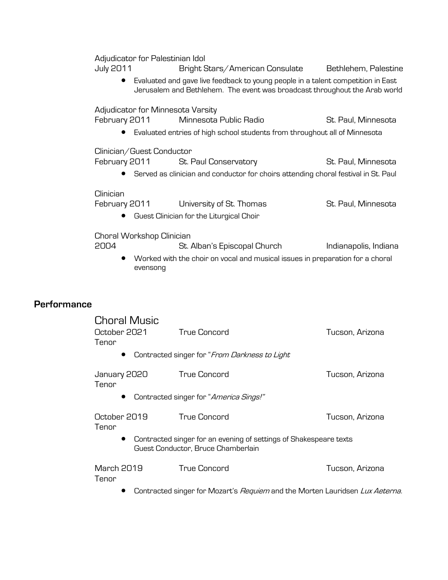Adjudicator for Palestinian Idol

|                    |                     | Adjudicator for Palestinian Idol  |                                                                                                                                                                |                       |
|--------------------|---------------------|-----------------------------------|----------------------------------------------------------------------------------------------------------------------------------------------------------------|-----------------------|
|                    | <b>July 2011</b>    |                                   | Bright Stars/American Consulate                                                                                                                                | Bethlehem, Palestine  |
|                    |                     |                                   | Evaluated and gave live feedback to young people in a talent competition in East<br>Jerusalem and Bethlehem. The event was broadcast throughout the Arab world |                       |
|                    |                     | Adjudicator for Minnesota Varsity |                                                                                                                                                                |                       |
|                    | February 2011       |                                   | Minnesota Public Radio                                                                                                                                         | St. Paul, Minnesota   |
|                    |                     |                                   | Evaluated entries of high school students from throughout all of Minnesota                                                                                     |                       |
|                    |                     | Clinician/Guest Conductor         |                                                                                                                                                                |                       |
|                    | February 2011       |                                   | St. Paul Conservatory                                                                                                                                          | St. Paul, Minnesota   |
|                    |                     |                                   | Served as clinician and conductor for choirs attending choral festival in St. Paul                                                                             |                       |
|                    | Clinician           |                                   |                                                                                                                                                                |                       |
|                    | February 2011       |                                   | University of St. Thomas                                                                                                                                       | St. Paul, Minnesota   |
|                    |                     |                                   | Guest Clinician for the Liturgical Choir                                                                                                                       |                       |
|                    |                     | Choral Workshop Clinician         |                                                                                                                                                                |                       |
|                    | 2004                |                                   | St. Alban's Episcopal Church                                                                                                                                   | Indianapolis, Indiana |
|                    |                     | evensong                          | Worked with the choir on vocal and musical issues in preparation for a choral                                                                                  |                       |
|                    |                     |                                   |                                                                                                                                                                |                       |
| <b>Performance</b> |                     |                                   |                                                                                                                                                                |                       |
|                    | <b>Choral Music</b> |                                   |                                                                                                                                                                |                       |
|                    | October 2021        |                                   | <b>True Concord</b>                                                                                                                                            | Tucson, Arizona       |

Tenor

**•** Contracted singer for "From Darkness to Light

| January 2020<br>Tenor | <b>True Concord</b>                                                                                       | Tucson, Arizona |
|-----------------------|-----------------------------------------------------------------------------------------------------------|-----------------|
|                       | Contracted singer for "America Sings!"                                                                    |                 |
| October 2019<br>Tenor | True Concord                                                                                              | Tucson, Arizona |
|                       | • Contracted singer for an evening of settings of Shakespeare texts<br>Guest Conductor, Bruce Chamberlain |                 |
| March 2019<br>Tenor   | <b>True Concord</b>                                                                                       | Tucson, Arizona |

**•** Contracted singer for Mozart's *Requiem* and the Morten Lauridsen Lux Aeterna.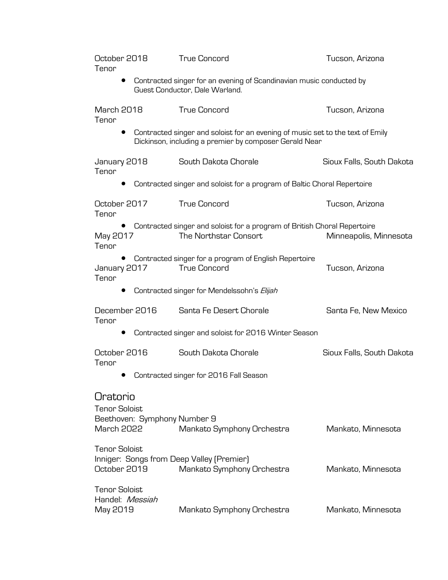| October 2018<br>Tenor                                 |                              | <b>True Concord</b>                                                                                                                      | Tucson, Arizona           |
|-------------------------------------------------------|------------------------------|------------------------------------------------------------------------------------------------------------------------------------------|---------------------------|
|                                                       |                              | Contracted singer for an evening of Scandinavian music conducted by<br>Guest Conductor, Dale Warland.                                    |                           |
| <b>March 2018</b><br>Tenor                            |                              | <b>True Concord</b>                                                                                                                      | Tucson, Arizona           |
|                                                       |                              | Contracted singer and soloist for an evening of music set to the text of Emily<br>Dickinson, including a premier by composer Gerald Near |                           |
| January 2018<br>Tenor                                 |                              | South Dakota Chorale                                                                                                                     | Sioux Falls, South Dakota |
|                                                       |                              | Contracted singer and soloist for a program of Baltic Choral Repertoire                                                                  |                           |
| October 2017<br>Tenor                                 |                              | <b>True Concord</b>                                                                                                                      | Tucson, Arizona           |
| May 2017<br>Tenor                                     |                              | Contracted singer and soloist for a program of British Choral Repertoire<br>The Northstar Consort                                        | Minneapolis, Minnesota    |
| $\bullet$<br>January 2017<br>Tenor                    |                              | Contracted singer for a program of English Repertoire<br><b>True Concord</b>                                                             | Tucson, Arizona           |
|                                                       |                              | Contracted singer for Mendelssohn's Elijah                                                                                               |                           |
| December 2016<br>Tenor                                |                              | Santa Fe Desert Chorale                                                                                                                  | Santa Fe, New Mexico      |
|                                                       |                              | Contracted singer and soloist for 2016 Winter Season                                                                                     |                           |
| October 2016<br>Tenor                                 |                              | South Dakota Chorale                                                                                                                     | Sioux Falls, South Dakota |
|                                                       |                              | Contracted singer for 2016 Fall Season                                                                                                   |                           |
| Oratorio<br><b>Tenor Soloist</b><br><b>March 2022</b> | Beethoven: Symphony Number 9 | Mankato Symphony Orchestra                                                                                                               | Mankato, Minnesota        |
| <b>Tenor Soloist</b><br>October 2019                  |                              | Inniger: Songs from Deep Valley (Premier)<br>Mankato Symphony Orchestra                                                                  | Mankato, Minnesota        |
| <b>Tenor Soloist</b><br>Handel: Messiah<br>May 2019   |                              | Mankato Symphony Orchestra                                                                                                               | Mankato, Minnesota        |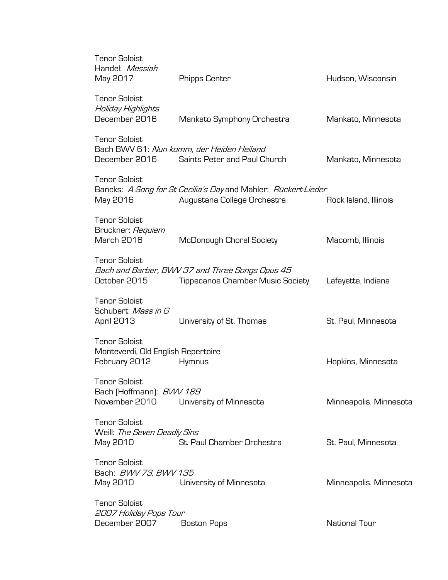| <b>Tenor Soloist</b><br>Handel: Messiah<br>May 2017                         | <b>Phipps Center</b>                                                                          | Hudson, Wisconsin      |
|-----------------------------------------------------------------------------|-----------------------------------------------------------------------------------------------|------------------------|
| <b>Tenor Soloist</b><br>Holiday Highlights<br>December 2016                 | Mankato Symphony Orchestra                                                                    | Mankato, Minnesota     |
| <b>Tenor Soloist</b><br>December 2016                                       | Bach BWV 61: Nun komm, der Heiden Heiland<br>Saints Peter and Paul Church                     | Mankato, Minnesota     |
| <b>Tenor Soloist</b><br>May 2016                                            | Bancks: A Song for St Cecilia's Day and Mahler: Rückert-Lieder<br>Augustana College Orchestra | Rock Island, Illinois  |
| <b>Tenor Soloist</b><br>Bruckner: Requiem<br><b>March 2016</b>              | McDonough Choral Society                                                                      | Macomb, Illinois       |
| <b>Tenor Soloist</b><br>October 2015                                        | Bach and Barber, BWV 37 and Three Songs Opus 45<br><b>Tippecanoe Chamber Music Society</b>    | Lafayette, Indiana     |
| <b>Tenor Soloist</b><br>Schubert: Mass in G<br>April 2013                   | University of St. Thomas                                                                      | St. Paul, Minnesota    |
| <b>Tenor Soloist</b><br>Monteverdi, Old English Repertoire<br>February 2012 | Hymnus                                                                                        | Hopkins, Minnesota     |
| Tenor Soloist<br>Bach (Hoffmann): BWV 189<br>November 2010                  | University of Minnesota                                                                       | Minneapolis, Minnesota |
| <b>Tenor Soloist</b><br>Weill: The Seven Deadly Sins<br>May 2010            | St. Paul Chamber Orchestra                                                                    | St. Paul, Minnesota    |
| <b>Tenor Soloist</b><br>Bach: BWV 73, BWV 135<br>May 2010 May               | University of Minnesota                                                                       | Minneapolis, Minnesota |
| <b>Tenor Soloist</b><br>2007 Holiday Pops Tour<br>December 2007             | <b>Boston Pops</b>                                                                            | National Tour          |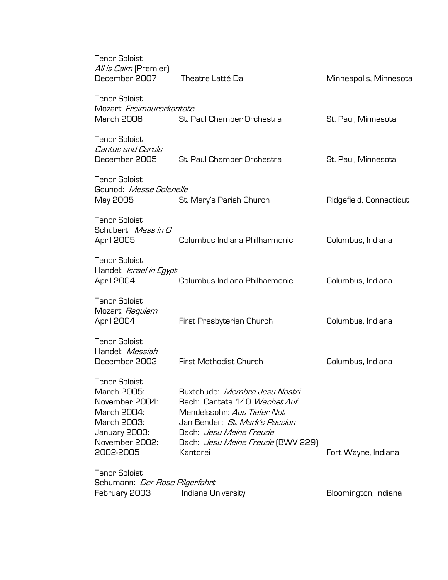| <b>Tenor Soloist</b><br>All is Calm (Premier)<br>December 2007                                                                      | Theatre Latté Da                                                                                                                                                                                                         | Minneapolis, Minnesota  |
|-------------------------------------------------------------------------------------------------------------------------------------|--------------------------------------------------------------------------------------------------------------------------------------------------------------------------------------------------------------------------|-------------------------|
| <b>Tenor Soloist</b><br>Mozart: Freimaurerkantate<br>March 2006                                                                     | St. Paul Chamber Orchestra                                                                                                                                                                                               | St. Paul, Minnesota     |
| <b>Tenor Soloist</b><br><b>Cantus and Carols</b><br>December 2005                                                                   | St. Paul Chamber Orchestra                                                                                                                                                                                               | St. Paul, Minnesota     |
| <b>Tenor Soloist</b><br>Gounod: Messe Solenelle<br>May 2005                                                                         | St. Mary's Parish Church                                                                                                                                                                                                 | Ridgefield, Connecticut |
| <b>Tenor Soloist</b><br>Schubert: Mass in G<br>April 2005                                                                           | Columbus Indiana Philharmonic                                                                                                                                                                                            | Columbus, Indiana       |
| <b>Tenor Soloist</b><br>Handel: Israel in Egypt<br>April 2004                                                                       | Columbus Indiana Philharmonic                                                                                                                                                                                            | Columbus, Indiana       |
| <b>Tenor Soloist</b><br>Mozart: Requiem<br>April 2004                                                                               | First Presbyterian Church                                                                                                                                                                                                | Columbus, Indiana       |
| <b>Tenor Soloist</b><br>Handel: Messiah<br>December 2003                                                                            | First Methodist Church                                                                                                                                                                                                   | Columbus, Indiana       |
| <b>Tenor Soloist</b><br>March 2005:<br>November 2004:<br>March 2004:<br>March 2003:<br>January 2003:<br>November 2002:<br>2002-2005 | Buxtehude: Membra Jesu Nostri<br>Bach: Cantata 140 Wachet Auf<br>Mendelssohn: Aus Tiefer Not<br>Jan Bender: St. Mark's Passion<br>Bach: <i>Jesu Meine Freude</i><br>Bach: <i>Jesu Meine Freude</i> (BWV 229)<br>Kantorei | Fort Wayne, Indiana     |
| <b>Tenor Soloist</b><br>Schumann: <i>Der Rose Pilgerfahrt</i><br>February 2003                                                      | Indiana University                                                                                                                                                                                                       | Bloomington, Indiana    |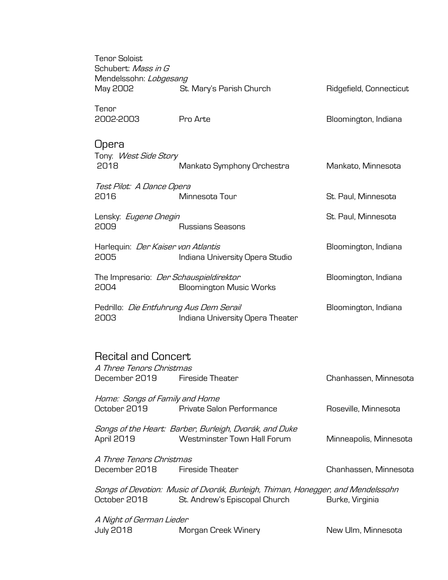| <b>Tenor Soloist</b><br>Schubert: Mass in G<br>Mendelssohn: Lobgesang   |                                                                                                                  |                         |
|-------------------------------------------------------------------------|------------------------------------------------------------------------------------------------------------------|-------------------------|
| May 2002                                                                | St. Mary's Parish Church                                                                                         | Ridgefield, Connecticut |
| Tenor<br>2002-2003                                                      | Pro Arte                                                                                                         | Bloomington, Indiana    |
| <b>Upera</b><br>Tony: West Side Story<br>2018                           | Mankato Symphony Orchestra                                                                                       | Mankato, Minnesota      |
| Test Pilot: A Dance Opera<br>2016                                       | Minnesota Tour                                                                                                   | St. Paul, Minnesota     |
| Lensky: Eugene Onegin<br>2009                                           | <b>Russians Seasons</b>                                                                                          | St. Paul, Minnesota     |
| Harlequin: Der Kaiser von Atlantis<br>2005                              | Indiana University Opera Studio                                                                                  | Bloomington, Indiana    |
| The Impresario: <i>Der Schauspieldirektor</i><br>2004                   | <b>Bloomington Music Works</b>                                                                                   | Bloomington, Indiana    |
| Pedrillo: Die Entfuhrung Aus Dem Serail<br>2003                         | Indiana University Opera Theater                                                                                 | Bloomington, Indiana    |
| <b>Recital and Concert</b><br>A Three Tenors Christmas<br>December 2019 | Fireside Theater                                                                                                 | Chanhassen, Minnesota   |
| Home: Songs of Family and Home<br>October 2019                          | Private Salon Performance                                                                                        | Roseville, Minnesota    |
| April 2019                                                              | Songs of the Heart: Barber, Burleigh, Dvorák, and Duke<br>Westminster Town Hall Forum                            | Minneapolis, Minnesota  |
| A Three Tenors Christmas<br>December 2018                               | <b>Fireside Theater</b>                                                                                          | Chanhassen, Minnesota   |
| October 2018                                                            | Songs of Devotion: Music of Dvorák, Burleigh, Thiman, Honegger, and Mendelssohn<br>St. Andrew's Episcopal Church | Burke, Virginia         |
| A Night of German Lieder<br><b>July 2018</b>                            | Morgan Creek Winery                                                                                              | New Ulm, Minnesota      |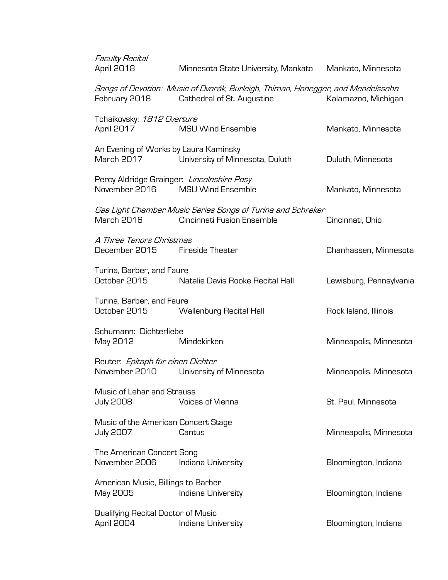| <b>Faculty Recital</b><br>April 2018                        | Minnesota State University, Mankato                                                                           | Mankato, Minnesota      |
|-------------------------------------------------------------|---------------------------------------------------------------------------------------------------------------|-------------------------|
| February 2018                                               | Songs of Devotion: Music of Dvorák, Burleigh, Thiman, Honegger, and Mendelssohn<br>Cathedral of St. Augustine | Kalamazoo, Michigan     |
| Tchaikovsky: 1812 Overture<br>April 2017                    | <b>MSU Wind Ensemble</b>                                                                                      | Mankato, Minnesota      |
| An Evening of Works by Laura Kaminsky                       | March 2017 University of Minnesota, Duluth                                                                    | Duluth, Minnesota       |
| Percy Aldridge Grainger: Lincolnshire Posy<br>November 2016 | MSU Wind Ensemble                                                                                             | Mankato, Minnesota      |
| March 2016                                                  | Gas Light Chamber Music Series Songs of Turina and Schreker<br>Cincinnati Fusion Ensemble                     | Cincinnati, Ohio        |
| A Three Tenors Christmas<br>December 2015 Fireside Theater  |                                                                                                               | Chanhassen, Minnesota   |
| Turina, Barber, and Faure<br>October 2015                   | Natalie Davis Rooke Recital Hall                                                                              | Lewisburg, Pennsylvania |
| Turina, Barber, and Faure<br>October 2015                   | Wallenburg Recital Hall                                                                                       | Rock Island, Illinois   |
| Schumann: Dichterliebe<br>May 2012                          | Mindekirken                                                                                                   | Minneapolis, Minnesota  |
| Reuter: Epitaph für einen Dichter<br>November 2010          | University of Minnesota                                                                                       | Minneapolis, Minnesota  |
| Music of Lehar and Strauss<br><b>July 2008</b>              | Voices of Vienna                                                                                              | St. Paul, Minnesota     |
| Music of the American Concert Stage<br><b>July 2007</b>     | Cantus                                                                                                        | Minneapolis, Minnesota  |
| The American Concert Song<br>November 2006                  | Indiana University                                                                                            | Bloomington, Indiana    |
| American Music, Billings to Barber<br>May 2005              | Indiana University                                                                                            | Bloomington, Indiana    |
| Qualifying Recital Doctor of Music<br>April 2004            | Indiana University                                                                                            | Bloomington, Indiana    |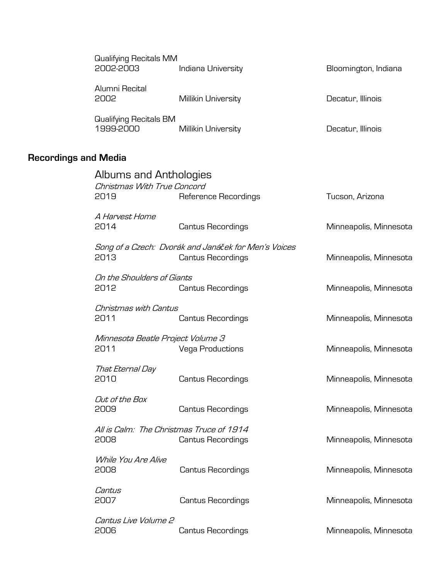| <b>Qualifying Recitals MM</b> |                     |                      |  |
|-------------------------------|---------------------|----------------------|--|
| 2002-2003                     | Indiana University  | Bloomington, Indiana |  |
|                               |                     |                      |  |
| Alumni Recital                |                     |                      |  |
| 2002                          | Millikin University | Decatur, Illinois    |  |
|                               |                     |                      |  |
| Qualifying Recitals BM        |                     |                      |  |
|                               |                     |                      |  |
| 1999-2000                     | Millikin University | Decatur, Illinois    |  |

# **Recordings and Media**

| Albums and Anthologies<br>Christmas With True Concord<br>2019 | Reference Recordings                                                             | Tucson, Arizona        |
|---------------------------------------------------------------|----------------------------------------------------------------------------------|------------------------|
| A Harvest Home<br>2014                                        | <b>Cantus Recordings</b>                                                         | Minneapolis, Minnesota |
| 2013                                                          | Song of a Czech: Dvorák and Janáček for Men's Voices<br><b>Cantus Recordings</b> | Minneapolis, Minnesota |
| On the Shoulders of Giants<br>2012                            | <b>Cantus Recordings</b>                                                         | Minneapolis, Minnesota |
| Christmas with Cantus<br>2011                                 | <b>Cantus Recordings</b>                                                         | Minneapolis, Minnesota |
| Minnesota Beatle Project Volume 3<br>2011                     | <b>Vega Productions</b>                                                          | Minneapolis, Minnesota |
| That Eternal Day<br>2010                                      | <b>Cantus Recordings</b>                                                         | Minneapolis, Minnesota |
| Out of the Box<br>2009                                        | <b>Cantus Recordings</b>                                                         | Minneapolis, Minnesota |
| All is Calm: The Christmas Truce of 1914<br>2008              | <b>Cantus Recordings</b>                                                         | Minneapolis, Minnesota |
| While You Are Alive<br>2008                                   | <b>Cantus Recordings</b>                                                         | Minneapolis, Minnesota |
| Cantus<br>2007                                                | <b>Cantus Recordings</b>                                                         | Minneapolis, Minnesota |
| Cantus Live Volume 2<br>2006                                  | <b>Cantus Recordings</b>                                                         | Minneapolis, Minnesota |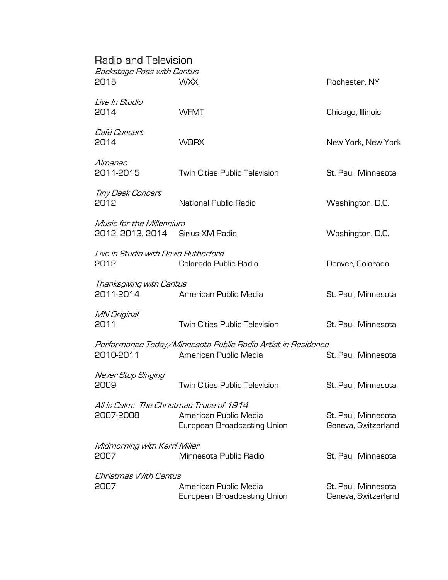# Radio and Television

| Backstage Pass with Cantus<br>2015                           | <b>WXXI</b>                                                                           | Rochester, NY                              |
|--------------------------------------------------------------|---------------------------------------------------------------------------------------|--------------------------------------------|
| Live In Studio<br>2014                                       | <b>WFMT</b>                                                                           | Chicago, Illinois                          |
| Café Concert<br>2014                                         | <b>WQRX</b>                                                                           | New York, New York                         |
| Almanac<br>2011-2015                                         | Twin Cities Public Television                                                         | St. Paul, Minnesota                        |
| Tiny Desk Concert<br>2012                                    | National Public Radio                                                                 | Washington, D.C.                           |
| Music for the Millennium<br>2012, 2013, 2014 Sirius XM Radio |                                                                                       | Washington, D.C.                           |
| Live in Studio with David Rutherford<br>2012                 | Colorado Public Radio                                                                 | Denver, Colorado                           |
| Thanksgiving with Cantus<br>2011-2014                        | American Public Media                                                                 | St. Paul, Minnesota                        |
| MN Original<br>2011                                          | <b>Twin Cities Public Television</b>                                                  | St. Paul, Minnesota                        |
| 2010-2011                                                    | Performance Today/Minnesota Public Radio Artist in Residence<br>American Public Media | St. Paul, Minnesota                        |
| Never Stop Singing<br>2009                                   | <b>Twin Cities Public Television</b>                                                  | St. Paul, Minnesota                        |
| All is Calm: The Christmas Truce of 1914<br>2007-2008        | American Public Media<br>European Broadcasting Union                                  | St. Paul. Minnesota<br>Geneva, Switzerland |
| Midmorning with Kerri Miller<br>2007                         | Minnesota Public Radio                                                                | St. Paul, Minnesota                        |
| Christmas With Cantus<br>2007                                | American Public Media<br>European Broadcasting Union                                  | St. Paul, Minnesota<br>Geneva, Switzerland |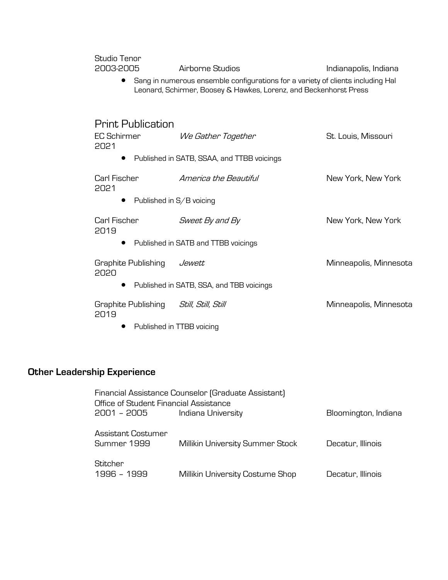| Studio Tenor<br>2003-2005                       | Airborne Studios                                                                                                                                     | Indianapolis, Indiana  |
|-------------------------------------------------|------------------------------------------------------------------------------------------------------------------------------------------------------|------------------------|
| $\bullet$                                       | Sang in numerous ensemble configurations for a variety of clients including Hal<br>Leonard, Schirmer, Boosey & Hawkes, Lorenz, and Beckenhorst Press |                        |
| <b>Print Publication</b>                        |                                                                                                                                                      |                        |
| <b>EC Schirmer</b><br>2021                      | We Gather Together                                                                                                                                   | St. Louis, Missouri    |
|                                                 | Published in SATB, SSAA, and TTBB voicings                                                                                                           |                        |
| Carl Fischer<br>2021                            | America the Beautiful                                                                                                                                | New York, New York     |
| $\bullet$                                       | Published in S/B voicing                                                                                                                             |                        |
| Carl Fischer<br>2019                            | Sweet By and By                                                                                                                                      | New York, New York     |
|                                                 | Published in SATB and TTBB voicings                                                                                                                  |                        |
| Graphite Publishing<br>2020                     | Jewett                                                                                                                                               | Minneapolis, Minnesota |
| $\bullet$                                       | Published in SATB, SSA, and TBB voicings                                                                                                             |                        |
| Graphite Publishing Still, Still, Still<br>2019 |                                                                                                                                                      | Minneapolis, Minnesota |
|                                                 | Published in TTBB voicing                                                                                                                            |                        |

# **Other Leadership Experience**

| Office of Student Financial Assistance   | Financial Assistance Counselor (Graduate Assistant) |                      |
|------------------------------------------|-----------------------------------------------------|----------------------|
| 2001 – 2005                              | Indiana University                                  | Bloomington, Indiana |
| <b>Assistant Costumer</b><br>Summer 1999 | Millikin University Summer Stock                    | Decatur, Illinois    |
| Stitcher<br>1996 - 1999                  | Millikin University Costume Shop                    | Decatur, Illinois    |